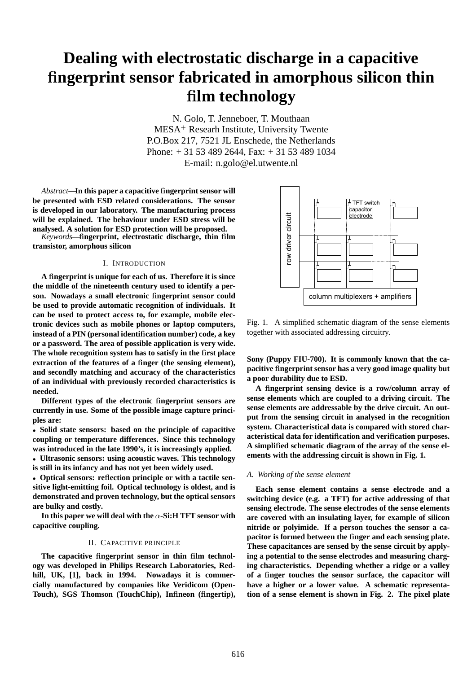# **Dealing with electrostatic discharge in a capacitive** fi**ngerprint sensor fabricated in amorphous silicon thin** fi**lm technology**

N. Golo, T. Jenneboer, T. Mouthaan MESA<sup>+</sup> Researh Institute, University Twente P.O.Box 217, 7521 JL Enschede, the Netherlands Phone: + 31 53 489 2644, Fax: + 31 53 489 1034 E-mail: n.golo@el.utwente.nl

*Abstract***—In this paper a capacitive** fi**ngerprint sensor will be presented with ESD related considerations. The sensor is developed in our laboratory. The manufacturing process will be explained. The behaviour under ESD stress will be analysed. A solution for ESD protection will be proposed.**

*Keywords***—**fi**ngerprint, electrostatic discharge, thin** fi**lm transistor, amorphous silicon**

## I. INTRODUCTION

**A** fi**ngerprint is unique for each of us. Therefore it is since the middle of the nineteenth century used to identify a person. Nowadays a small electronic** fi**ngerprint sensor could be used to provide automatic recognition of individuals. It can be used to protect access to, for example, mobile electronic devices such as mobile phones or laptop computers, instead of a PIN (personal identi**fi**cation number) code, a key or a password. The area of possible application is very wide. The whole recognition system has to satisfy in the** fi**rst place extraction of the features of a** fi**nger (the sensing element), and secondly matching and accuracy of the characteristics of an individual with previously recorded characteristics is needed.**

**Different types of the electronic** fi**ngerprint sensors are currently in use. Some of the possible image capture principles are:**

• **Solid state sensors: based on the principle of capacitive coupling or temperature differences. Since this technology was introduced in the late 1990's, it is increasingly applied.**

• **Ultrasonic sensors: using acoustic waves. This technology is still in its infancy and has not yet been widely used.**

• **Optical sensors: re**fl**ection principle or with a tactile sensitive light-emitting foil. Optical technology is oldest, and is demonstrated and proven technology, but the optical sensors are bulky and costly.**

**In this paper we will deal with the** α**-Si:H TFT sensor with capacitive coupling.**

# II. CAPACITIVE PRINCIPLE

**The capacitive** fi**ngerprint sensor in thin** fi**lm technology was developed in Philips Research Laboratories, Redhill, UK, [1], back in 1994. Nowadays it is commercially manufactured by companies like Veridicom (Open-Touch), SGS Thomson (TouchChip), In**fi**neon (**fi**ngertip),**



Fig. 1. A simplified schematic diagram of the sense elements together with associated addressing circuitry.

**Sony (Puppy FIU-700). It is commonly known that the capacitive** fi**ngerprint sensor has a very good image quality but a poor durability due to ESD.**

**A** fi**ngerprint sensing device is a row/column array of sense elements which are coupled to a driving circuit. The sense elements are addressable by the drive circuit. An output from the sensing circuit in analysed in the recognition system. Characteristical data is compared with stored characteristical data for identi**fi**cation and veri**fi**cation purposes. A simpli**fi**ed schematic diagram of the array of the sense elements with the addressing circuit is shown in Fig. 1.**

## *A. Working of the sense element*

**Each sense element contains a sense electrode and a switching device (e.g. a TFT) for active addressing of that sensing electrode. The sense electrodes of the sense elements are covered with an insulating layer, for example of silicon nitride or polyimide. If a person touches the sensor a capacitor is formed between the** fi**nger and each sensing plate. These capacitances are sensed by the sense circuit by applying a potential to the sense electrodes and measuring charging characteristics. Depending whether a ridge or a valley of a** fi**nger touches the sensor surface, the capacitor will have a higher or a lower value. A schematic representation of a sense element is shown in Fig. 2. The pixel plate**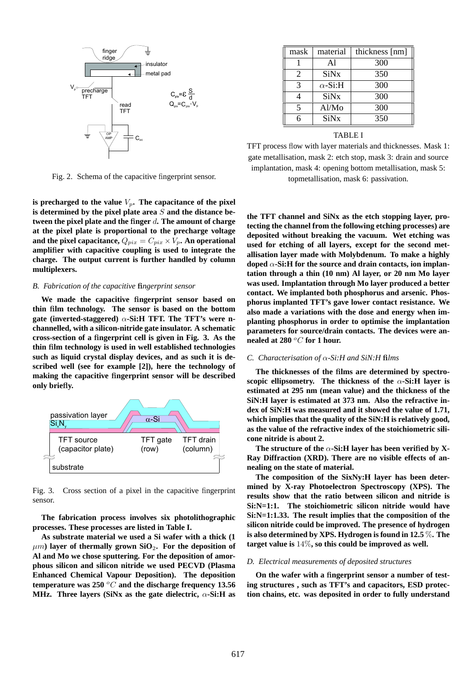

Fig. 2. Schema of the capacitive fingerprint sensor.

is **precharged** to the value  $V_p$ . The capacitance of the pixel **is determined by the pixel plate area** S **and the distance between the pixel plate and the** fi**nger** d**. The amount of charge at the pixel plate is proportional to the precharge voltage** and the pixel capacitance,  $Q_{pix} = C_{pix} \times V_p$ . An operational **ampli**fi**er with capacitive coupling is used to integrate the charge. The output current is further handled by column multiplexers.**

# *B. Fabrication of the capacitive* fi*ngerprint sensor*

**We made the capacitive** fi**ngerprint sensor based on thin** fi**lm technology. The sensor is based on the bottom gate (inverted-staggered)** α**-Si:H TFT. The TFT's were nchannelled, with a silicon-nitride gate insulator. A schematic cross-section of a** fi**ngerprint cell is given in Fig. 3. As the thin** fi**lm technology is used in well established technologies such as liquid crystal display devices, and as such it is described well (see for example [2]), here the technology of making the capacitive** fi**ngerprint sensor will be described only brie**fl**y.**



Fig. 3. Cross section of a pixel in the capacitive fingerprint sensor.

**The fabrication process involves six photolithographic processes. These processes are listed in Table I.**

**As substrate material we used a Si wafer with a thick (1**  $\mu$ m) layer of thermally grown SiO<sub>2</sub>. For the deposition of **Al and Mo we chose sputtering. For the deposition of amorphous silicon and silicon nitride we used PECVD (Plasma Enhanced Chemical Vapour Deposition). The deposition temperature was 250** <sup>o</sup>C **and the discharge frequency 13.56 MHz. Three layers (SiNx as the gate dielectric,** α**-Si:H as**

| mask                     | material               | thickness [nm] |
|--------------------------|------------------------|----------------|
|                          | Al                     | 300            |
| 2                        | SiNx                   | 350            |
| $\mathcal{R}$            | $\alpha$ -Si:H         | 300            |
|                          | <b>SiN<sub>x</sub></b> | 300            |
| $\overline{\mathcal{L}}$ | Al/Mo                  | 300            |
| R                        | SiNx                   | 350            |

TABLE I

TFT process flow with layer materials and thicknesses. Mask 1: gate metallisation, mask 2: etch stop, mask 3: drain and source implantation, mask 4: opening bottom metallisation, mask 5: topmetallisation, mask 6: passivation.

**the TFT channel and SiNx as the etch stopping layer, protecting the channel from the following etching processes) are deposited without breaking the vacuum. Wet etching was used for etching of all layers, except for the second metallisation layer made with Molybdenum. To make a highly doped** α**-Si:H for the source and drain contacts, ion implantation through a thin (10 nm) Al layer, or 20 nm Mo layer was used. Implantation through Mo layer produced a better contact. We implanted both phosphorus and arsenic. Phosphorus implanted TFT's gave lower contact resistance. We also made a variations with the dose and energy when implanting phosphorus in order to optimise the implantation parameters for source/drain contacts. The devices were annealed at 280** <sup>o</sup>C **for 1 hour.**

# *C. Characterisation of* α*-Si:H and SiN:H* fi*lms*

**The thicknesses of the** fi**lms are determined by spectroscopic ellipsometry. The thickness of the** α**-Si:H layer is estimated at 295 nm (mean value) and the thickness of the SiN:H layer is estimated at 373 nm. Also the refractive index of SiN:H was measured and it showed the value of 1.71, which implies that the quality of the SiN:H is relatively good, as the value of the refractive index of the stoichiometric silicone nitride is about 2.**

**The** structure of the  $\alpha$ -Si:H layer has been verified by X-**Ray Diffraction (XRD). There are no visible effects of annealing on the state of material.**

**The composition of the SixNy:H layer has been determined by X-ray Photoelectron Spectroscopy (XPS). The results show that the ratio between silicon and nitride is Si:N=1:1. The stoichiometric silicon nitride would have Si:N=1:1.33. The result implies that the composition of the silicon nitride could be improved. The presence of hydrogen is also determined by XPS. Hydrogen is found in 12.5** %**. The target value is** 14%**, so this could be improved as well.**

#### *D. Electrical measurements of deposited structures*

**On the wafer with a** fi**ngerprint sensor a number of testing structures , such as TFT's and capacitors, ESD protection chains, etc. was deposited in order to fully understand**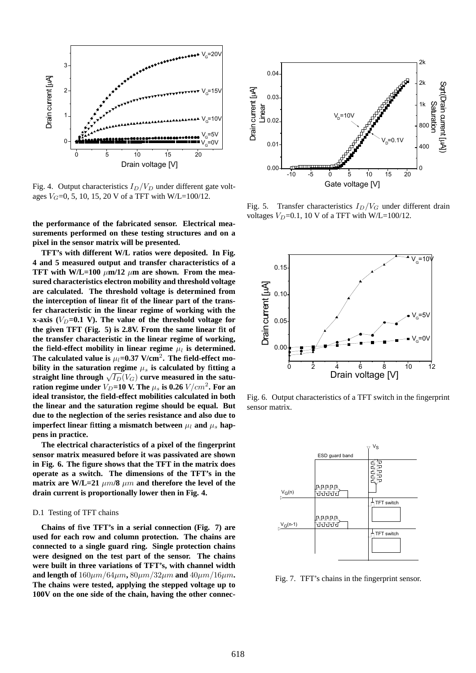

Fig. 4. Output characteristics  $I_D/V_D$  under different gate voltages  $V_G$ =0, 5, 10, 15, 20 V of a TFT with W/L=100/12.

**the performance of the fabricated sensor. Electrical measurements performed on these testing structures and on a pixel in the sensor matrix will be presented.**

**TFT's with different W/L ratios were deposited. In Fig. 4 and 5 measured output and transfer characteristics of a TFT** with W/L=100  $\mu$ m/12  $\mu$ m are shown. From the mea**sured characteristics electron mobility and threshold voltage are calculated. The threshold voltage is determined from the interception of linear** fi**t of the linear part of the transfer characteristic in the linear regime of working with the x-axis**  $(V_D=0.1 \text{ V})$ . The value of the threshold voltage for **the given TFT (Fig. 5) is 2.8V. From the same linear** fi**t of the transfer characteristic in the linear regime of working,** the field-effect mobility in linear regime  $\mu_l$  is determined. The calculated value is  $\mu_l = 0.37 \text{ V/cm}^2$ . The field-effect mo**bility** in the saturation regime  $\mu_s$  is calculated by fitting a **straight** line through  $\sqrt{I_D}(V_G)$  curve measured in the satu**ration regime under**  $V_D = 10$  **V.** The  $\mu_s$  is 0.26  $V/cm^2$ . For an **ideal transistor, the** fi**eld-effect mobilities calculated in both the linear and the saturation regime should be equal. But due to the neglection of the series resistance and also due to imperfect** linear fitting a mismatch between  $\mu_l$  and  $\mu_s$  hap**pens in practice.**

**The electrical characteristics of a pixel of the** fi**ngerprint sensor matrix measured before it was passivated are shown in Fig. 6. The** fi**gure shows that the TFT in the matrix does operate as a switch. The dimensions of the TFT's in the matrix** are **W**/L=21  $\mu$ m/8  $\mu$ m and therefore the level of the **drain current is proportionally lower then in Fig. 4.**

# D.1 Testing of TFT chains

**Chains of** fi**ve TFT's in a serial connection (Fig. 7) are used for each row and column protection. The chains are connected to a single guard ring. Single protection chains were designed on the test part of the sensor. The chains were built in three variations of TFT's, with channel width and length** of  $160 \mu m/64 \mu m$ ,  $80 \mu m/32 \mu m$  **and**  $40 \mu m/16 \mu m$ . **The chains were tested, applying the stepped voltage up to 100V on the one side of the chain, having the other connec-**



Fig. 5. Transfer characteristics  $I_D/V_G$  under different drain voltages  $V_D$ =0.1, 10 V of a TFT with W/L=100/12.



Fig. 6. Output characteristics of a TFT switch in the fingerprint sensor matrix.



Fig. 7. TFT's chains in the fingerprint sensor.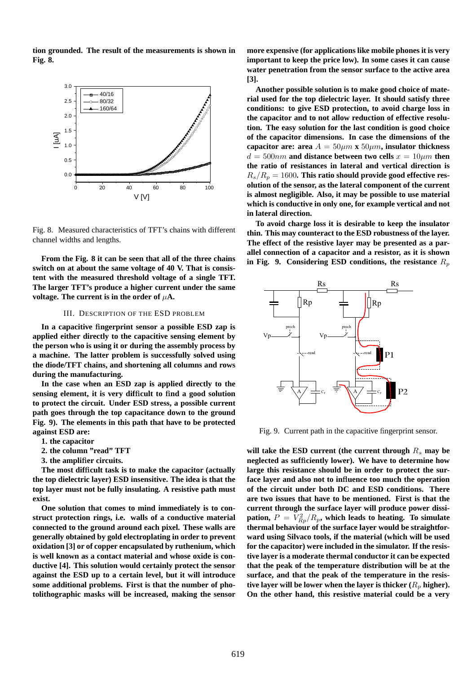**tion grounded. The result of the measurements is shown in Fig. 8.**



Fig. 8. Measured characteristics of TFT's chains with different channel widths and lengths.

**From the Fig. 8 it can be seen that all of the three chains switch on at about the same voltage of 40 V. That is consistent with the measured threshold voltage of a single TFT. The larger TFT's produce a higher current under the same voltage.** The current is in the order of  $\mu$ A.

## III. DESCRIPTION OF THE ESD PROBLEM

**In a capacitive** fi**ngerprint sensor a possible ESD zap is applied either directly to the capacitive sensing element by the person who is using it or during the assembly process by a machine. The latter problem is successfully solved using the diode/TFT chains, and shortening all columns and rows during the manufacturing.**

**In the case when an ESD zap is applied directly to the sensing element, it is very dif**fi**cult to** fi**nd a good solution to protect the circuit. Under ESD stress, a possible current path goes through the top capacitance down to the ground Fig. 9). The elements in this path that have to be protected against ESD are:**

- **1. the capacitor**
- **2. the column "read" TFT**
- **3. the ampli**fi**er circuits.**

**The most dif**fi**cult task is to make the capacitor (actually the top dielectric layer) ESD insensitive. The idea is that the top layer must not be fully insulating. A resistive path must exist.**

**One solution that comes to mind immediately is to construct protection rings, i.e. walls of a conductive material connected to the ground around each pixel. These walls are generally obtained by gold electroplating in order to prevent oxidation [3] or of copper encapsulated by ruthenium, which is well known as a contact material and whose oxide is conductive [4]. This solution would certainly protect the sensor against the ESD up to a certain level, but it will introduce some additional problems. First is that the number of photolithographic masks will be increased, making the sensor**

**more expensive (for applications like mobile phones it is very important to keep the price low). In some cases it can cause water penetration from the sensor surface to the active area [3].**

**Another possible solution is to make good choice of material used for the top dielectric layer. It should satisfy three conditions: to give ESD protection, to avoid charge loss in the capacitor and to not allow reduction of effective resolution. The easy solution for the last condition is good choice of the capacitor dimensions. In case the dimensions of the capacitor are: area**  $A = 50 \mu m \times 50 \mu m$ , **insulator thickness**  $d = 500nm$  and distance between two cells  $x = 10 \mu m$  then **the ratio of resistances in lateral and vertical direction is**  $R_s/R_p = 1600$ . This ratio should provide good effective res**olution of the sensor, as the lateral component of the current is almost negligible. Also, it may be possible to use material which is conductive in only one, for example vertical and not in lateral direction.**

**To avoid charge loss it is desirable to keep the insulator thin. This may counteract to the ESD robustness of the layer. The effect of the resistive layer may be presented as a parallel connection of a capacitor and a resistor, as it is shown in** Fig. 9. Considering ESD conditions, the resistance  $R_p$ 



Fig. 9. Current path in the capacitive fingerprint sensor.

will take the ESD current (the current through  $R_s$  may be **neglected as suf**fi**ciently lower). We have to determine how large this resistance should be in order to protect the surface layer and also not to in**fl**uence too much the operation of the circuit under both DC and ESD conditions. There are two issues that have to be mentioned. First is that the current through the surface layer will produce power dissipation,**  $P = V_{Rp}^2/R_p$ , which leads to heating. To simulate **thermal behaviour of the surface layer would be straightforward using Silvaco tools, if the material (which will be used for the capacitor) were included in the simulator. If the resistive layer is a moderate thermal conductor it can be expected that the peak of the temperature distribution will be at the surface, and that the peak of the temperature in the resistive** layer will be lower when the layer is thicker  $(R_n)$  higher). **On the other hand, this resistive material could be a very**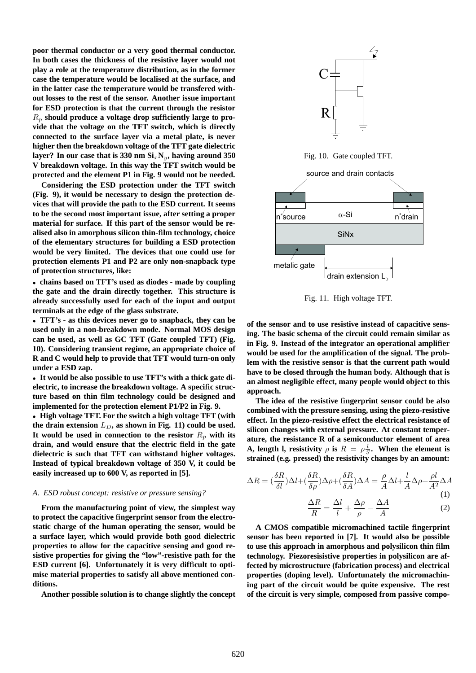**poor thermal conductor or a very good thermal conductor. In both cases the thickness of the resistive layer would not play a role at the temperature distribution, as in the former case the temperature would be localised at the surface, and in the latter case the temperature would be transfered without losses to the rest of the sensor. Another issue important for ESD protection is that the current through the resistor** R<sup>p</sup> **should produce a voltage drop suf**fi**ciently large to provide that the voltage on the TFT switch, which is directly connected to the surface layer via a metal plate, is never higher then the breakdown voltage of the TFT gate dielectric layer?** In our case that is  $330 \text{ nm } \text{Si}_x \text{N}_y$ , having around  $350$ **V breakdown voltage. In this way the TFT switch would be protected and the element P1 in Fig. 9 would not be needed.**

**Considering the ESD protection under the TFT switch (Fig. 9), it would be necessary to design the protection devices that will provide the path to the ESD current. It seems to be the second most important issue, after setting a proper material for surface. If this part of the sensor would be realised also in amorphous silicon thin-**fi**lm technology, choice of the elementary structures for building a ESD protection would be very limited. The devices that one could use for protection elements P1 and P2 are only non-snapback type of protection structures, like:**

• **chains based on TFT's used as diodes - made by coupling the gate and the drain directly together. This structure is already successfully used for each of the input and output terminals at the edge of the glass substrate.**

• **TFT's - as this devices never go to snapback, they can be used only in a non-breakdown mode. Normal MOS design can be used, as well as GC TFT (Gate coupled TFT) (Fig. 10). Considering transient regime, an appropriate choice of R and C would help to provide that TFT would turn-on only under a ESD zap.**

• **It would be also possible to use TFT's with a thick gate dielectric, to increase the breakdown voltage. A speci**fi**c structure based on thin** fi**lm technology could be designed and implemented for the protection element P1/P2 in Fig. 9.**

• **High voltage TFT. For the switch a high voltage TFT (with the** drain extension  $L_D$ , as shown in Fig. 11) could be used. It would be used in connection to the resistor  $R_p$  with its **drain, and would ensure that the electric** fi**eld in the gate dielectric is such that TFT can withstand higher voltages. Instead of typical breakdown voltage of 350 V, it could be easily increased up to 600 V, as reported in [5].**

## *A. ESD robust concept: resistive or pressure sensing?*

**From the manufacturing point of view, the simplest way to protect the capacitive** fi**ngerprint sensor from the electrostatic charge of the human operating the sensor, would be a surface layer, which would provide both good dielectric properties to allow for the capacitive sensing and good resistive properties for giving the "low"-resistive path for the ESD current [6]. Unfortunately it is very dif**fi**cult to optimise material properties to satisfy all above mentioned conditions.**

**Another possible solution is to change slightly the concept**



Fig. 10. Gate coupled TFT.



Fig. 11. High voltage TFT.

**of the sensor and to use resistive instead of capacitive sensing. The basic schema of the circuit could remain similar as in Fig. 9. Instead of the integrator an operational ampli**fi**er would be used for the ampli**fi**cation of the signal. The problem with the resistive sensor is that the current path would have to be closed through the human body. Although that is an almost negligible effect, many people would object to this approach.**

**The idea of the resistive** fi**ngerprint sensor could be also combined with the pressure sensing, using the piezo-resistive effect. In the piezo-resistive effect the electrical resistance of silicon changes with external pressure. At constant temperature, the resistance R of a semiconductor element of area A, length l, resistivity**  $\rho$  **is**  $R = \rho \frac{l}{S}$ . When the element is **strained (e.g. pressed) the resistivity changes by an amount:**

$$
\Delta R = \left(\frac{\delta R}{\delta l}\right) \Delta l + \left(\frac{\delta R}{\delta \rho}\right) \Delta \rho + \left(\frac{\delta R}{\delta A}\right) \Delta A = \frac{\rho}{A} \Delta l + \frac{l}{A} \Delta \rho + \frac{\rho l}{A^2} \Delta A
$$
\n
$$
\frac{\Delta R}{R} = \frac{\Delta l}{l} + \frac{\Delta \rho}{\rho} - \frac{\Delta A}{A} \tag{2}
$$

**A CMOS compatible micromachined tactile** fi**ngerprint sensor has been reported in [7]. It would also be possible to use this approach in amorphous and polysilicon thin** fi**lm technology. Piezoresisistive properties in polysilicon are affected by microstructure (fabrication process) and electrical properties (doping level). Unfortunately the micromachining part of the circuit would be quite expensive. The rest of the circuit is very simple, composed from passive compo-**